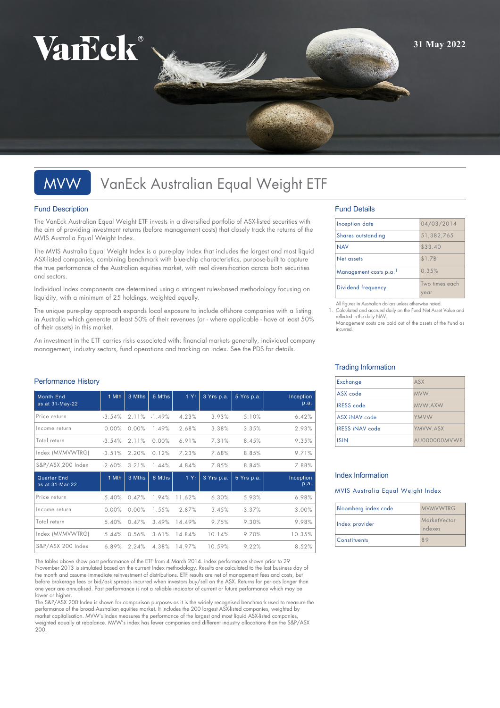

# MVW VanEck Australian Equal Weight ETF

### Fund Description

The VanEck Australian Equal Weight ETF invests in a diversified portfolio of ASX-listed securities with the aim of providing investment returns (before management costs) that closely track the returns of the MVIS Australia Equal Weight Index.

The MVIS Australia Equal Weight Index is a pure-play index that includes the largest and most liquid ASX-listed companies, combining benchmark with blue-chip characteristics, purpose-built to capture the true performance of the Australian equities market, with real diversification across both securities and sectors.

Individual Index components are determined using a stringent rules-based methodology focusing on liquidity, with a minimum of 25 holdings, weighted equally.

The unique pure-play approach expands local exposure to include offshore companies with a listing in Australia which generate at least 50% of their revenues (or - where applicable - have at least 50% of their assets) in this market.

An investment in the ETF carries risks associated with: financial markets generally, individual company management, industry sectors, fund operations and tracking an index. See the PDS for details.

### Performance History

| <b>Month End</b><br>as at 31-May-22   | 1 Mth    | 3 Mths | 6 Mths   | 1 Yr   | 3 Yrs p.a. | 5 Yrs p.a. | Inception<br>p.a. |
|---------------------------------------|----------|--------|----------|--------|------------|------------|-------------------|
| Price return                          | $-3.54%$ | 2.11%  | $-1.49%$ | 4.23%  | 3.93%      | 5.10%      | 6.42%             |
| Income return                         | 0.00%    | 0.00%  | 1.49%    | 2.68%  | 3.38%      | 3.35%      | 2.93%             |
| Total return                          | $-3.54%$ | 2.11%  | 0.00%    | 6.91%  | 7.31%      | 8.45%      | 9.35%             |
| Index (MVMVWTRG)                      | $-3.51%$ | 2.20%  | 0.12%    | 7.23%  | 7.68%      | 8.85%      | 9.71%             |
| S&P/ASX 200 Index                     | $-2.60%$ | 3.21%  | 1.44%    | 4.84%  | 7.85%      | 8.84%      | 7.88%             |
| <b>Quarter End</b><br>as at 31-Mar-22 | 1 Mth    | 3 Mths | 6 Mths   | 1Yr    | 3 Yrs p.a. | 5 Yrs p.a. | Inception<br>p.a. |
| Price return                          | 5.40%    | 0.47%  | 1.94%    | 11.62% | 6.30%      | 5.93%      | 6.98%             |
| Income return                         | 0.00%    | 0.00%  | 1.55%    | 2.87%  | 3.45%      | 3.37%      | 3.00%             |
| Total return                          | 5.40%    | 0.47%  | 3.49%    | 14.49% | 9.75%      | 9.30%      | 9.98%             |
| Index (MVMVWTRG)                      | 5.44%    | 0.56%  | 3.61%    | 14.84% | 10.14%     | 9.70%      | 10.35%            |
|                                       |          |        |          |        |            |            |                   |

The tables above show past performance of the ETF from 4 March 2014. Index performance shown prior to 29 November 2013 is simulated based on the current Index methodology. Results are calculated to the last business day of the month and assume immediate reinvestment of distributions. ETF results are net of management fees and costs, but before brokerage fees or bid/ask spreads incurred when investors buy/sell on the ASX. Returns for periods longer than one year are annualised. Past performance is not a reliable indicator of current or future performance which may be lower or higher.

The S&P/ASX 200 Index is shown for comparison purposes as it is the widely recognised benchmark used to measure the performance of the broad Australian equities market. It includes the 200 largest ASX-listed companies, weighted by market capitalisation. MVW's index measures the performance of the largest and most liquid ASX-listed companies weighted equally at rebalance. MVW's index has fewer companies and different industry allocations than the S&P/ASX 200.

### Fund Details

| Inception date        | 04/03/2014             |
|-----------------------|------------------------|
| Shares outstanding    | 51,382,765             |
| <b>NAV</b>            | \$33.40                |
| Net assets            | \$1.7B                 |
| Management costs p.a. | 0.35%                  |
| Dividend frequency    | Two times each<br>year |

All figures in Australian dollars unless otherwise noted.

Calculated and accrued daily on the Fund Net Asset Value and reflected in the daily NAV. Management costs are paid out of the assets of the Fund as

incurred.

## Trading Information

| Exchange               | ASX          |
|------------------------|--------------|
| ASX code               | <b>MVW</b>   |
| <b>IRESS</b> code      | MVW.AXW      |
| ASX iNAV code          | YMVW         |
| <b>IRESS INAV code</b> | YMVW.ASX     |
| <b>ISIN</b>            | AU000000MVW8 |

### Index Information

MVIS Australia Equal Weight Index

| Bloomberg index code | <b>MVMVWTRG</b>         |
|----------------------|-------------------------|
| Index provider       | MarketVector<br>Indexes |
| <b>Constituents</b>  |                         |